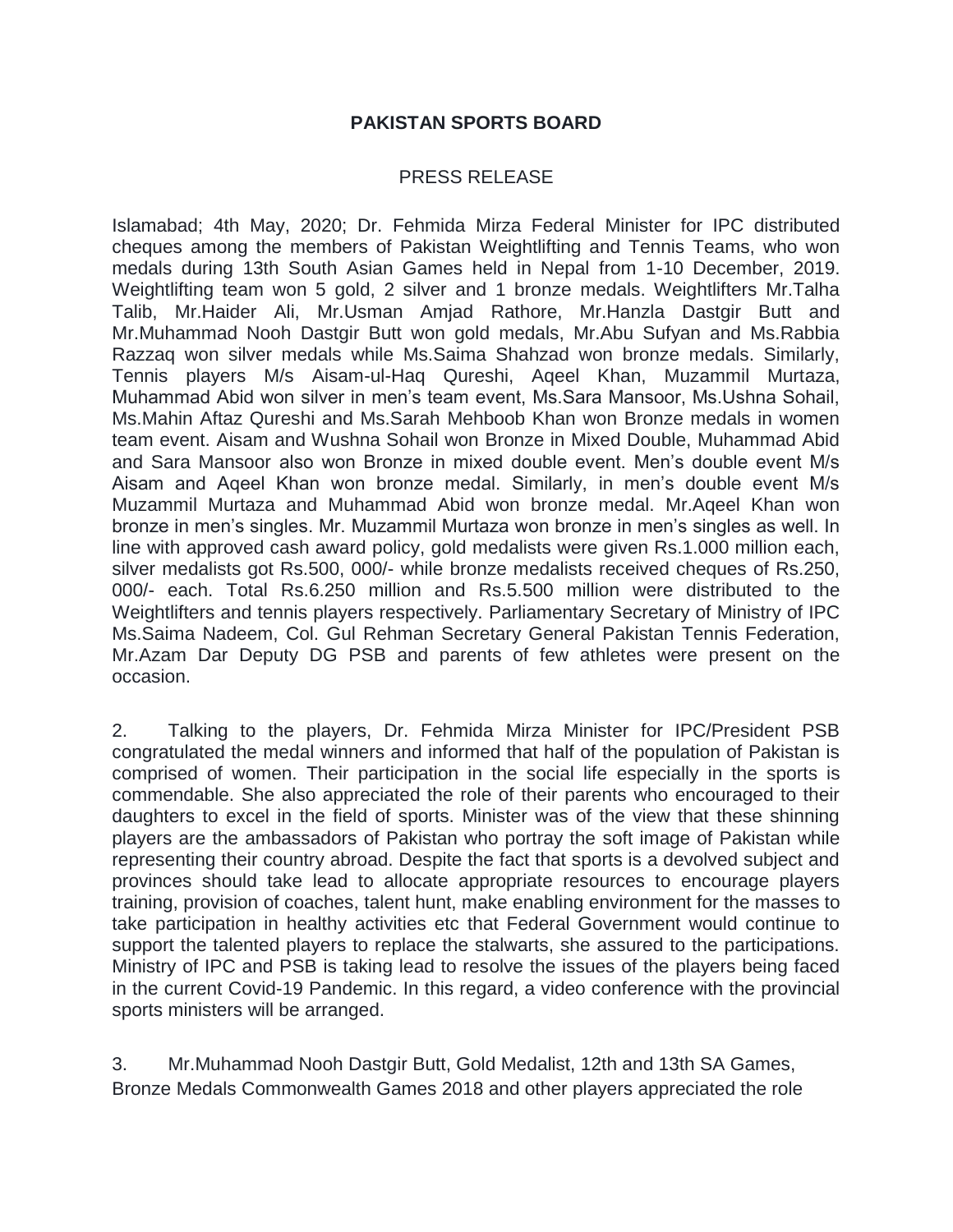## **PAKISTAN SPORTS BOARD**

## PRESS RELEASE

Islamabad; 4th May, 2020; Dr. Fehmida Mirza Federal Minister for IPC distributed cheques among the members of Pakistan Weightlifting and Tennis Teams, who won medals during 13th South Asian Games held in Nepal from 1-10 December, 2019. Weightlifting team won 5 gold, 2 silver and 1 bronze medals. Weightlifters Mr.Talha Talib, Mr.Haider Ali, Mr.Usman Amjad Rathore, Mr.Hanzla Dastgir Butt and Mr.Muhammad Nooh Dastgir Butt won gold medals, Mr.Abu Sufyan and Ms.Rabbia Razzaq won silver medals while Ms.Saima Shahzad won bronze medals. Similarly, Tennis players M/s Aisam-ul-Haq Qureshi, Aqeel Khan, Muzammil Murtaza, Muhammad Abid won silver in men's team event, Ms.Sara Mansoor, Ms.Ushna Sohail, Ms.Mahin Aftaz Qureshi and Ms.Sarah Mehboob Khan won Bronze medals in women team event. Aisam and Wushna Sohail won Bronze in Mixed Double, Muhammad Abid and Sara Mansoor also won Bronze in mixed double event. Men's double event M/s Aisam and Aqeel Khan won bronze medal. Similarly, in men's double event M/s Muzammil Murtaza and Muhammad Abid won bronze medal. Mr.Aqeel Khan won bronze in men's singles. Mr. Muzammil Murtaza won bronze in men's singles as well. In line with approved cash award policy, gold medalists were given Rs.1.000 million each, silver medalists got Rs.500, 000/- while bronze medalists received cheques of Rs.250, 000/- each. Total Rs.6.250 million and Rs.5.500 million were distributed to the Weightlifters and tennis players respectively. Parliamentary Secretary of Ministry of IPC Ms.Saima Nadeem, Col. Gul Rehman Secretary General Pakistan Tennis Federation, Mr.Azam Dar Deputy DG PSB and parents of few athletes were present on the occasion.

2. Talking to the players, Dr. Fehmida Mirza Minister for IPC/President PSB congratulated the medal winners and informed that half of the population of Pakistan is comprised of women. Their participation in the social life especially in the sports is commendable. She also appreciated the role of their parents who encouraged to their daughters to excel in the field of sports. Minister was of the view that these shinning players are the ambassadors of Pakistan who portray the soft image of Pakistan while representing their country abroad. Despite the fact that sports is a devolved subject and provinces should take lead to allocate appropriate resources to encourage players training, provision of coaches, talent hunt, make enabling environment for the masses to take participation in healthy activities etc that Federal Government would continue to support the talented players to replace the stalwarts, she assured to the participations. Ministry of IPC and PSB is taking lead to resolve the issues of the players being faced in the current Covid-19 Pandemic. In this regard, a video conference with the provincial sports ministers will be arranged.

3. Mr.Muhammad Nooh Dastgir Butt, Gold Medalist, 12th and 13th SA Games, Bronze Medals Commonwealth Games 2018 and other players appreciated the role